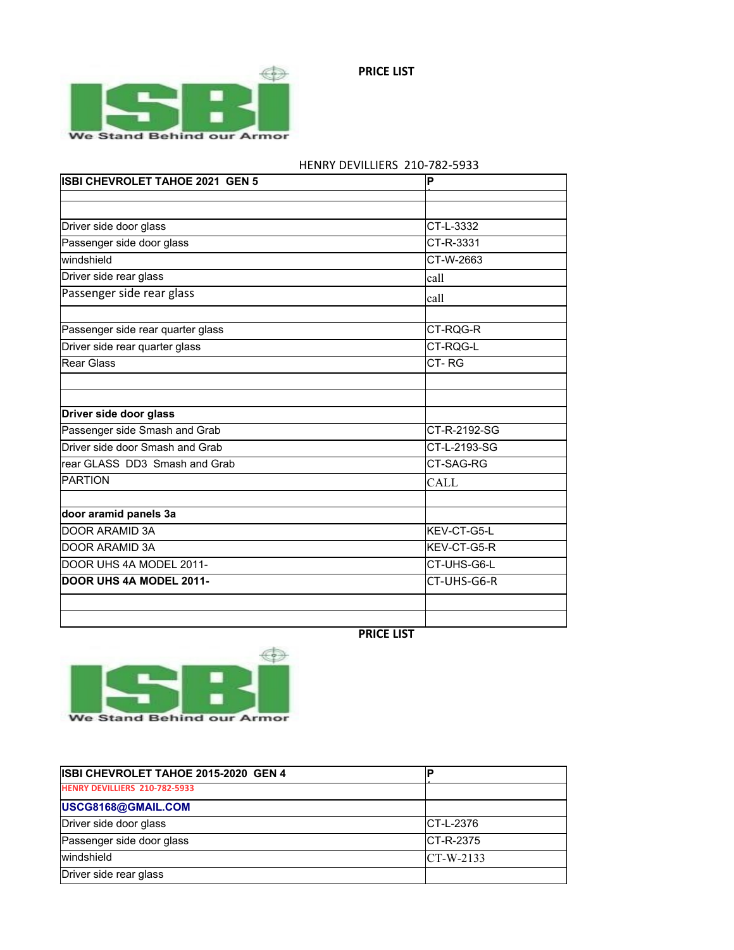

| <b>ISBI CHEVROLET TAHOE 2021 GEN 5</b> | ΙP                  |
|----------------------------------------|---------------------|
|                                        |                     |
|                                        |                     |
| Driver side door glass                 | CT-L-3332           |
| Passenger side door glass              | CT-R-3331           |
| İwindshield                            | CT-W-2663           |
| Driver side rear glass                 | lcall               |
| Passenger side rear glass              | lcall               |
|                                        |                     |
| Passenger side rear quarter glass      | CT-RQG-R            |
| Driver side rear quarter glass         | CT-RQG-L            |
| lRear Glass                            | CT-RG               |
|                                        |                     |
|                                        |                     |
| Driver side door glass                 |                     |
| Passenger side Smash and Grab          | CT-R-2192-SG        |
| Driver side door Smash and Grab        | CT-L-2193-SG        |
| rear GLASS DD3 Smash and Grab          | <b>CT-SAG-RG</b>    |
| PARTION                                | <b>CALL</b>         |
| door aramid panels 3a                  |                     |
| <b>IDOOR ARAMID 3A</b>                 | <b>IKEV-CT-G5-L</b> |
| DOOR ARAMID 3A                         | <b>IKEV-CT-G5-R</b> |
|                                        |                     |
| DOOR UHS 4A MODEL 2011-                | CT-UHS-G6-L         |
| DOOR UHS 4A MODEL 2011-                | CT-UHS-G6-R         |
|                                        |                     |
|                                        |                     |

## HENRY DEVILLIERS 210-782-5933

**PRICE LIST**



| ISBI CHEVROLET TAHOE 2015-2020 GEN 4 |              |
|--------------------------------------|--------------|
| HENRY DEVILLIERS 210-782-5933        |              |
| USCG8168@GMAIL.COM                   |              |
| Driver side door glass               | ICT-L-2376   |
| Passenger side door glass            | ICT-R-2375   |
| <i>windshield</i>                    | $C$ T-W-2133 |
| Driver side rear glass               |              |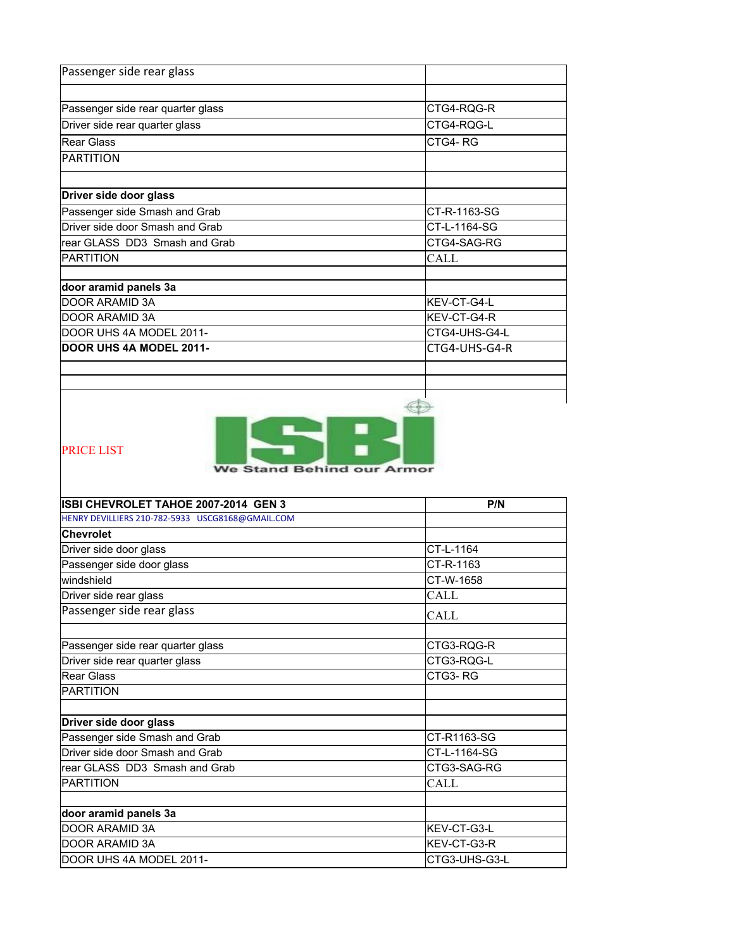| Passenger side rear glass         |                    |
|-----------------------------------|--------------------|
|                                   |                    |
| Passenger side rear quarter glass | CTG4-RQG-R         |
| Driver side rear quarter glass    | CTG4-RQG-L         |
| lRear Glass                       | CTG4-RG            |
| <b>PARTITION</b>                  |                    |
|                                   |                    |
| Driver side door glass            |                    |
| Passenger side Smash and Grab     | CT-R-1163-SG       |
| Driver side door Smash and Grab   | CT-L-1164-SG       |
| rear GLASS DD3 Smash and Grab     | CTG4-SAG-RG        |
| PARTITION                         | CALL               |
| door aramid panels 3a             |                    |
| DOOR ARAMID 3A                    | KEV-CT-G4-L        |
| DOOR ARAMID 3A                    | <b>KEV-CT-G4-R</b> |
| DOOR UHS 4A MODEL 2011-           | CTG4-UHS-G4-L      |
| DOOR UHS 4A MODEL 2011-           | CTG4-UHS-G4-R      |
|                                   |                    |
|                                   |                    |
|                                   |                    |



PRICE LIST

We Stand Behind our Armor

| ISBI CHEVROLET TAHOE 2007-2014 GEN 3             | P/N                 |
|--------------------------------------------------|---------------------|
| HENRY DEVILLIERS 210-782-5933 USCG8168@GMAIL.COM |                     |
| <b>Chevrolet</b>                                 |                     |
| Driver side door glass                           | CT-L-1164           |
| Passenger side door glass                        | CT-R-1163           |
| windshield                                       | CT-W-1658           |
| Driver side rear glass                           | <b>CALL</b>         |
| Passenger side rear glass                        | CALL                |
|                                                  |                     |
| Passenger side rear quarter glass                | CTG3-ROG-R          |
| Driver side rear quarter glass                   | CTG3-RQG-L          |
| Rear Glass                                       | CTG3-RG             |
| <b>PARTITION</b>                                 |                     |
|                                                  |                     |
| Driver side door glass                           |                     |
| Passenger side Smash and Grab                    | CT-R1163-SG         |
| Driver side door Smash and Grab                  | CT-L-1164-SG        |
| rear GLASS DD3 Smash and Grab                    | CTG3-SAG-RG         |
| <b>PARTITION</b>                                 | <b>CALL</b>         |
| door aramid panels 3a                            |                     |
| DOOR ARAMID 3A                                   | <b>IKEV-CT-G3-L</b> |
| DOOR ARAMID 3A                                   | <b>IKEV-CT-G3-R</b> |
| DOOR UHS 4A MODEL 2011-                          | CTG3-UHS-G3-L       |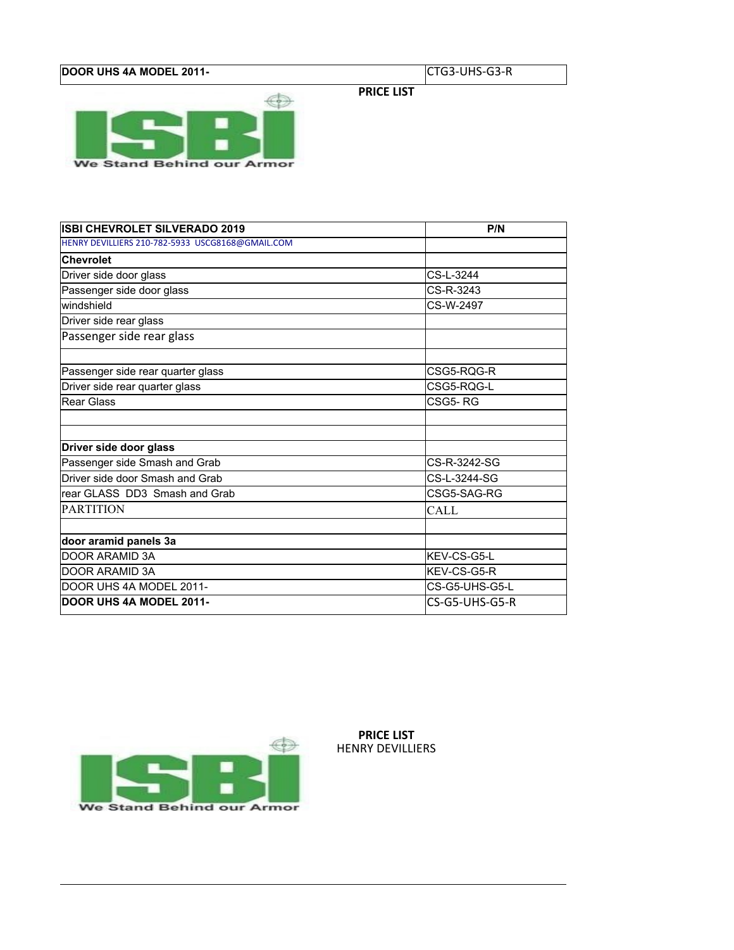## **DOOR UHS 4A MODEL 2011-** CTG3-UHS-G3-R

**PRICE LIST**



| <b>ISBI CHEVROLET SILVERADO 2019</b>             | P/N            |
|--------------------------------------------------|----------------|
| HENRY DEVILLIERS 210-782-5933 USCG8168@GMAIL.COM |                |
| <b>Chevrolet</b>                                 |                |
| Driver side door glass                           | CS-L-3244      |
| Passenger side door glass                        | CS-R-3243      |
| windshield                                       | CS-W-2497      |
| Driver side rear glass                           |                |
| Passenger side rear glass                        |                |
|                                                  |                |
| Passenger side rear quarter glass                | CSG5-ROG-R     |
| Driver side rear quarter glass                   | CSG5-ROG-L     |
| Rear Glass                                       | CSG5-RG        |
|                                                  |                |
| Driver side door glass                           |                |
| Passenger side Smash and Grab                    | CS-R-3242-SG   |
| Driver side door Smash and Grab                  | CS-L-3244-SG   |
| rear GLASS DD3 Smash and Grab                    | CSG5-SAG-RG    |
| <b>PARTITION</b>                                 | CALL           |
|                                                  |                |
| door aramid panels 3a                            |                |
| <b>DOOR ARAMID 3A</b>                            | KFV-CS-G5-I    |
| <b>DOOR ARAMID 3A</b>                            | KEV-CS-G5-R    |
| DOOR UHS 4A MODEL 2011-                          | CS-G5-UHS-G5-L |
| DOOR UHS 4A MODEL 2011-                          | CS-G5-UHS-G5-R |



**PRICE LIST** HENRY DEVILLIERS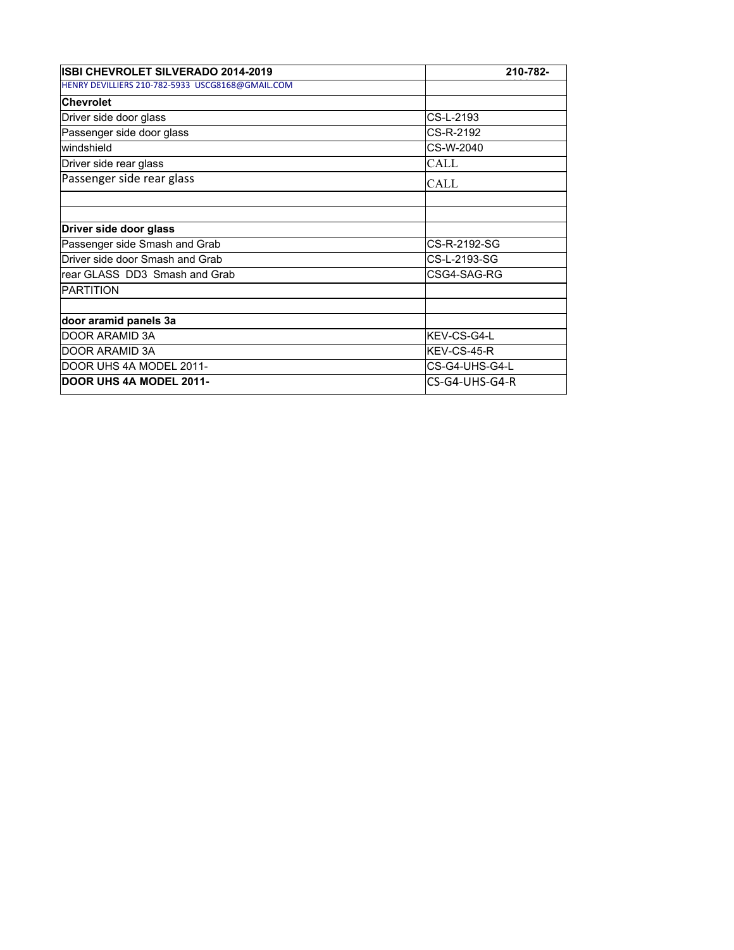| ISBI CHEVROLET SILVERADO 2014-2019               | 210-782-            |
|--------------------------------------------------|---------------------|
| HENRY DEVILLIERS 210-782-5933 USCG8168@GMAIL.COM |                     |
| <b>Chevrolet</b>                                 |                     |
| Driver side door glass                           | CS-L-2193           |
| Passenger side door glass                        | CS-R-2192           |
| windshield                                       | CS-W-2040           |
| Driver side rear glass                           | CALL                |
| Passenger side rear glass                        | <b>CALL</b>         |
|                                                  |                     |
| Driver side door glass                           |                     |
| Passenger side Smash and Grab                    | CS-R-2192-SG        |
| Driver side door Smash and Grab                  | CS-L-2193-SG        |
| rear GLASS DD3 Smash and Grab                    | CSG4-SAG-RG         |
| PARTITION                                        |                     |
| door aramid panels 3a                            |                     |
| DOOR ARAMID 3A                                   | <b>IKEV-CS-G4-L</b> |
| DOOR ARAMID 3A                                   | <b>IKEV-CS-45-R</b> |
| DOOR UHS 4A MODEL 2011-                          | CS-G4-UHS-G4-L      |
| <b>DOOR UHS 4A MODEL 2011-</b>                   | CS-G4-UHS-G4-R      |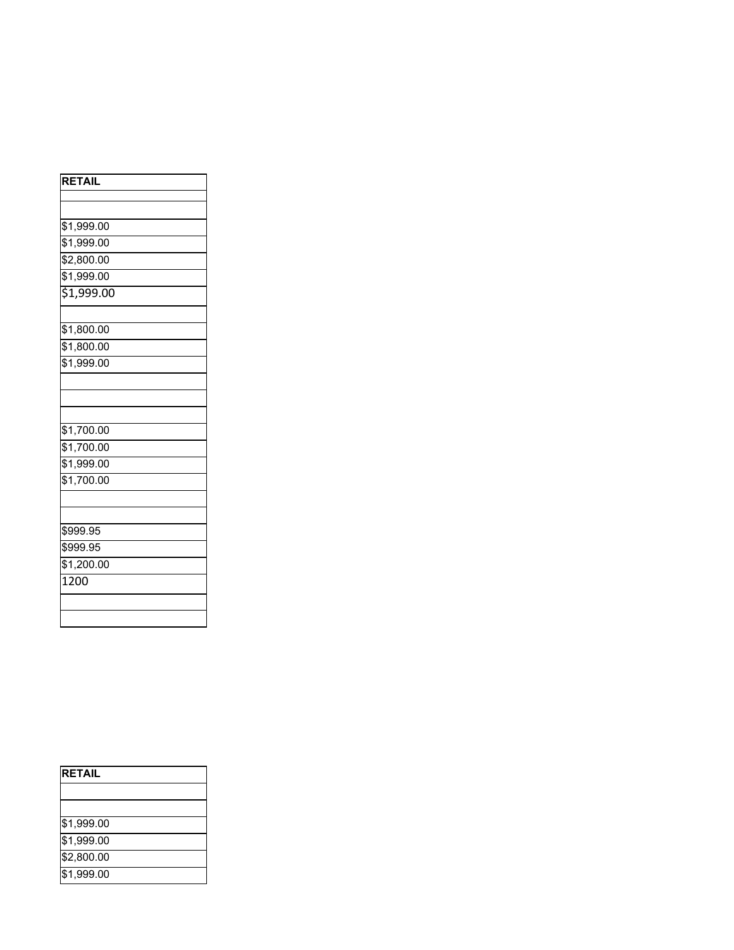| <b>RETAIL</b>          |
|------------------------|
|                        |
|                        |
| \$1,999.00             |
| \$1,999.00             |
| \$2,800.00             |
| \$1,999.00             |
| 51,999.00              |
|                        |
| $\overline{$1,800.00}$ |
| \$1,800.00             |
| \$1,999.00             |
|                        |
|                        |
|                        |
| \$1,700.00             |
| \$1,700.00             |
| \$1,999.00             |
| $\frac{1}{1,700.00}$   |
|                        |
|                        |
| \$999.95               |
| \$999.95               |
| \$1,200.00             |
| $\overline{1200}$      |
|                        |
|                        |

| <b>RETAIL</b> |  |
|---------------|--|
|               |  |
|               |  |
| \$1,999.00    |  |
| \$1,999.00    |  |
| \$2,800.00    |  |
| \$1,999.00    |  |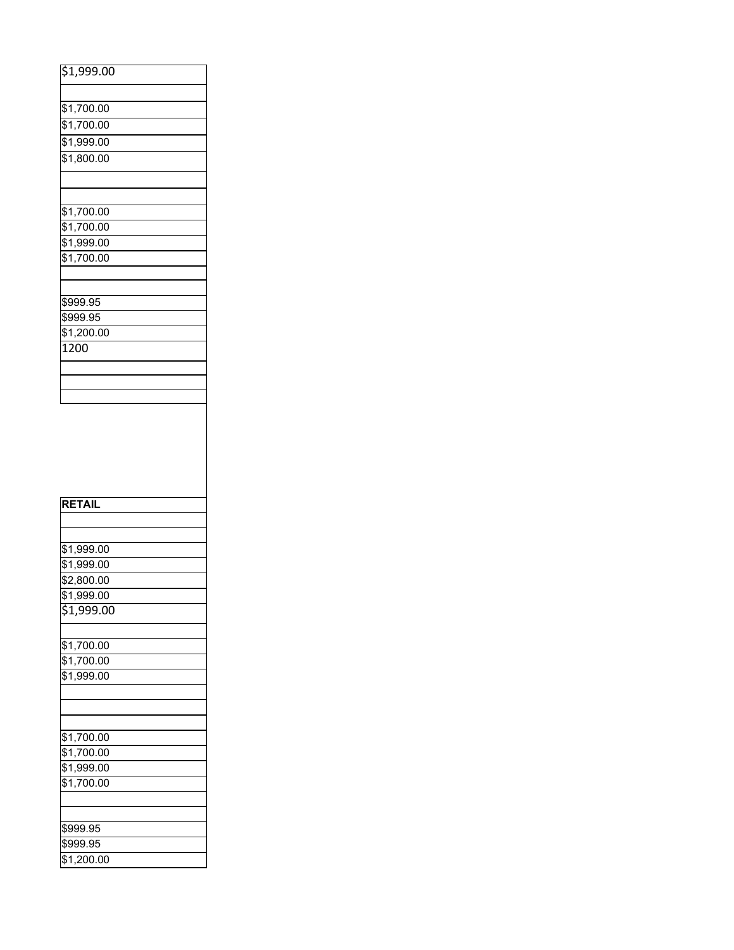| \$1,999.00             |  |
|------------------------|--|
|                        |  |
|                        |  |
| $\overline{$1,700.00}$ |  |
| \$1,700.00             |  |
| \$1,999.00             |  |
| \$1,800.00             |  |
|                        |  |
|                        |  |
|                        |  |
| \$1,700.00             |  |
| \$1,700.00             |  |
| \$1,999.00             |  |
| \$1,700.00             |  |
|                        |  |
|                        |  |
| \$999.95               |  |
| \$999.95               |  |
| \$1,200.00             |  |
| 1200                   |  |
|                        |  |
|                        |  |
|                        |  |
|                        |  |
|                        |  |
|                        |  |
|                        |  |
|                        |  |
|                        |  |
|                        |  |
|                        |  |
| <b>RETAIL</b>          |  |
|                        |  |
|                        |  |
| \$1,999.00             |  |
|                        |  |
| \$1,999.00             |  |
| $\overline{$}2,800.00$ |  |
| \$1,999.00             |  |
| $\overline{$1,999.00}$ |  |
|                        |  |
| \$1,700.00             |  |
| \$1,700.00             |  |
| \$1,999.00             |  |
|                        |  |
|                        |  |
|                        |  |
|                        |  |
| \$1,700.00             |  |
| \$1,700.00             |  |
| \$1,999.00             |  |
| \$1,700.00             |  |
|                        |  |
|                        |  |
| \$999.95               |  |

\$1,200.00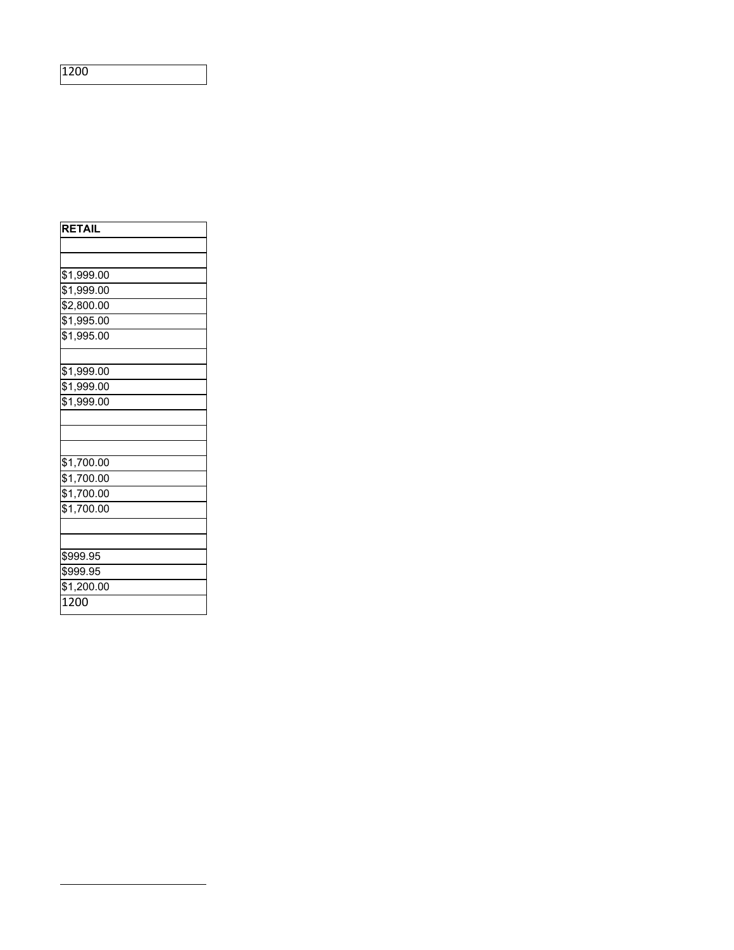| <b>RETAIL</b> |
|---------------|
|               |
|               |
| \$1,999.00    |
| \$1,999.00    |
| \$2,800.00    |
| \$1,995.00    |
| \$1,995.00    |
|               |
| \$1,999.00    |
| \$1,999.00    |
| \$1,999.00    |
|               |
|               |
|               |
| \$1,700.00    |
| \$1,700.00    |
| \$1,700.00    |
| \$1,700.00    |
|               |
|               |
| \$999.95      |
| \$999.95      |
| \$1,200.00    |
| 1200          |
|               |

1200